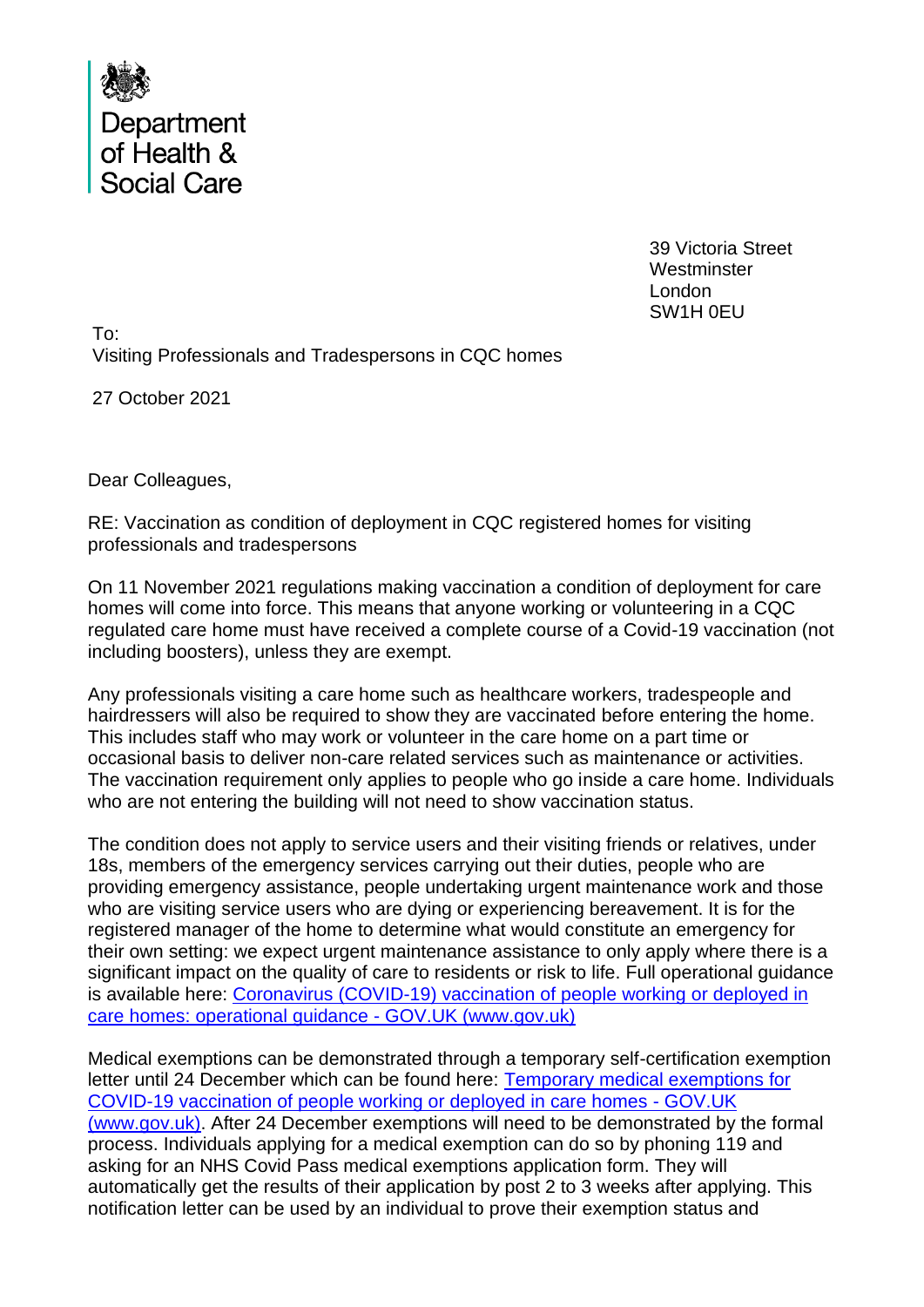

39 Victoria Street **Westminster** London SW1H 0EU

To: Visiting Professionals and Tradespersons in CQC homes

27 October 2021

Dear Colleagues,

RE: Vaccination as condition of deployment in CQC registered homes for visiting professionals and tradespersons

On 11 November 2021 regulations making vaccination a condition of deployment for care homes will come into force. This means that anyone working or volunteering in a CQC regulated care home must have received a complete course of a Covid-19 vaccination (not including boosters), unless they are exempt.

Any professionals visiting a care home such as healthcare workers, tradespeople and hairdressers will also be required to show they are vaccinated before entering the home. This includes staff who may work or volunteer in the care home on a part time or occasional basis to deliver non-care related services such as maintenance or activities. The vaccination requirement only applies to people who go inside a care home. Individuals who are not entering the building will not need to show vaccination status.

The condition does not apply to service users and their visiting friends or relatives, under 18s, members of the emergency services carrying out their duties, people who are providing emergency assistance, people undertaking urgent maintenance work and those who are visiting service users who are dying or experiencing bereavement. It is for the registered manager of the home to determine what would constitute an emergency for their own setting: we expect urgent maintenance assistance to only apply where there is a significant impact on the quality of care to residents or risk to life. Full operational guidance is available here: Coronavirus (COVID-19) vaccination of people working or deployed in care homes: operational guidance - GOV.UK (www.gov.uk)

Medical exemptions can be demonstrated through a temporary self-certification exemption letter until 24 December which can be found here: Temporary medical exemptions for COVID-19 vaccination of people working or deployed in care homes - GOV.UK (www.gov.uk). After 24 December exemptions will need to be demonstrated by the formal process. Individuals applying for a medical exemption can do so by phoning 119 and asking for an NHS Covid Pass medical exemptions application form. They will automatically get the results of their application by post 2 to 3 weeks after applying. This notification letter can be used by an individual to prove their exemption status and